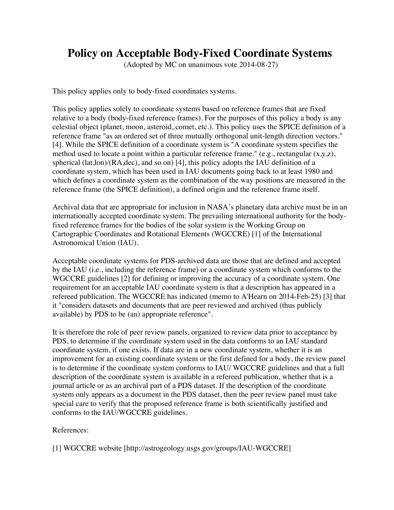## **Policy on Acceptable Body-Fixed Coordinate Systems**

(Adopted by MC on unanimous vote 2014-08-27)

This policy applies only to body-fixed coordinates systems.

This policy applies solely to coordinate systems based on reference frames that are fixed relative to a body (body-fixed reference frames). For the purposes of this policy a body is any celestial object (planet, moon, asteroid, comet, etc.). This policy uses the SPICE definition of a reference frame "as an ordered set of three mutually orthogonal unit-length direction vectors." [4]. While the SPICE definition of a coordinate system is "A coordinate system specifies the method used to locate a point within a particular reference frame." (e.g., rectangular (x,y,z), spherical (lat,lon)/(RA,dec), and so on) [4], this policy adopts the IAU definition of a coordinate system, which has been used in IAU documents going back to at least 1980 and which defines a coordinate system as the combination of the way positions are measured in the reference frame (the SPICE definition), a defined origin and the reference frame itself.

Archival data that are appropriate for inclusion in NASA's planetary data archive must be in an internationally accepted coordinate system. The prevailing international authority for the bodyfixed reference frames for the bodies of the solar system is the Working Group on Cartographic Coordinates and Rotational Elements (WGCCRE) [1] of the International Astronomical Union (IAU).

Acceptable coordinate systems for PDS-archived data are those that are defined and accepted by the IAU (i.e., including the reference frame) or a coordinate system which conforms to the WGCCRE guidelines [2] for defining or improving the accuracy of a coordinate system. One requirement for an acceptable IAU coordinate system is that a description has appeared in a refereed publication. The WGCCRE has indicated (memo to A'Hearn on 2014-Feb-25) [3] that it "considers datasets and documents that are peer reviewed and archived (thus publicly available) by PDS to be (an) appropriate reference".

It is therefore the role of peer review panels, organized to review data prior to acceptance by PDS, to determine if the coordinate system used in the data conforms to an IAU standard coordinate system, if one exists. If data are in a new coordinate system, whether it is an improvement for an existing coordinate system or the first defined for a body, the review panel is to determine if the coordinate system conforms to IAU/ WGCCRE guidelines and that a full description of the coordinate system is available in a refereed publication, whether that is a journal article or as an archival part of a PDS dataset. If the description of the coordinate system only appears as a document in the PDS dataset, then the peer review panel must take special care to verify that the proposed reference frame is both scientifically justified and conforms to the IAU/WGCCRE guidelines.

## References:

[1] WGCCRE website [http://astrogeology.usgs.gov/groups/IAU-WGCCRE]